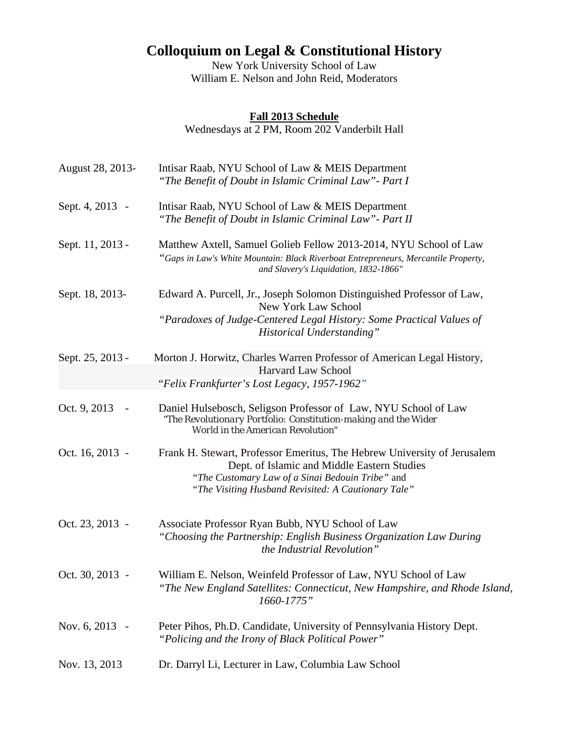## **Colloquium on Legal & Constitutional History**

New York University School of Law William E. Nelson and John Reid, Moderators

## **Fall 2013 Schedule**

Wednesdays at 2 PM, Room 202 Vanderbilt Hall

| August 28, 2013- | Intisar Raab, NYU School of Law & MEIS Department<br>"The Benefit of Doubt in Islamic Criminal Law" - Part I                                                                                                                       |
|------------------|------------------------------------------------------------------------------------------------------------------------------------------------------------------------------------------------------------------------------------|
| Sept. 4, 2013 -  | Intisar Raab, NYU School of Law & MEIS Department<br>"The Benefit of Doubt in Islamic Criminal Law" - Part II                                                                                                                      |
| Sept. 11, 2013 - | Matthew Axtell, Samuel Golieb Fellow 2013-2014, NYU School of Law<br>"Gaps in Law's White Mountain: Black Riverboat Entrepreneurs, Mercantile Property,<br>and Slavery's Liquidation, 1832-1866"                                   |
| Sept. 18, 2013-  | Edward A. Purcell, Jr., Joseph Solomon Distinguished Professor of Law,<br><b>New York Law School</b><br>"Paradoxes of Judge-Centered Legal History: Some Practical Values of<br><b>Historical Understanding"</b>                   |
| Sept. 25, 2013 - | Morton J. Horwitz, Charles Warren Professor of American Legal History,<br><b>Harvard Law School</b><br>"Felix Frankfurter's Lost Legacy, 1957-1962"                                                                                |
| Oct. 9, 2013     | Daniel Hulsebosch, Seligson Professor of Law, NYU School of Law<br>"The Revolutionary Portfolio: Constitution-making and the Wider<br>World in the American Revolution"                                                            |
| Oct. 16, 2013 -  | Frank H. Stewart, Professor Emeritus, The Hebrew University of Jerusalem<br>Dept. of Islamic and Middle Eastern Studies<br>"The Customary Law of a Sinai Bedouin Tribe" and<br>"The Visiting Husband Revisited: A Cautionary Tale" |
| Oct. 23, 2013 -  | Associate Professor Ryan Bubb, NYU School of Law<br>"Choosing the Partnership: English Business Organization Law During<br>the Industrial Revolution"                                                                              |
| Oct. 30, 2013 -  | William E. Nelson, Weinfeld Professor of Law, NYU School of Law<br>"The New England Satellites: Connecticut, New Hampshire, and Rhode Island,<br>1660-1775"                                                                        |
| Nov. 6, 2013 -   | Peter Pihos, Ph.D. Candidate, University of Pennsylvania History Dept.<br>"Policing and the Irony of Black Political Power"                                                                                                        |
| Nov. 13, 2013    | Dr. Darryl Li, Lecturer in Law, Columbia Law School                                                                                                                                                                                |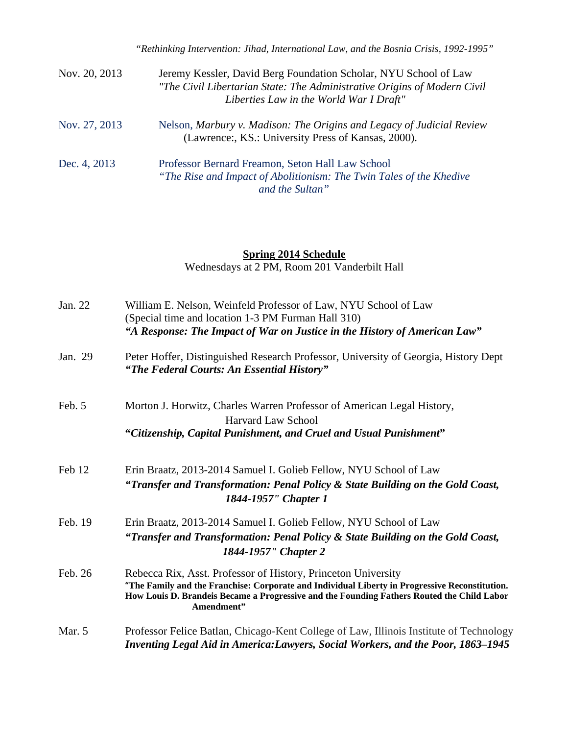| Nov. 20, 2013 | Jeremy Kessler, David Berg Foundation Scholar, NYU School of Law<br>"The Civil Libertarian State: The Administrative Origins of Modern Civil<br>Liberties Law in the World War I Draft" |
|---------------|-----------------------------------------------------------------------------------------------------------------------------------------------------------------------------------------|
| Nov. 27, 2013 | Nelson, Marbury v. Madison: The Origins and Legacy of Judicial Review<br>(Lawrence:, KS.: University Press of Kansas, 2000).                                                            |
| Dec. 4, 2013  | Professor Bernard Freamon, Seton Hall Law School<br>"The Rise and Impact of Abolitionism: The Twin Tales of the Khedive<br>and the Sultan"                                              |

## **Spring 2014 Schedule**

Wednesdays at 2 PM, Room 201 Vanderbilt Hall

| Jan. 22 | William E. Nelson, Weinfeld Professor of Law, NYU School of Law<br>(Special time and location 1-3 PM Furman Hall 310)<br>"A Response: The Impact of War on Justice in the History of American Law"                                                                          |
|---------|-----------------------------------------------------------------------------------------------------------------------------------------------------------------------------------------------------------------------------------------------------------------------------|
| Jan. 29 | Peter Hoffer, Distinguished Research Professor, University of Georgia, History Dept<br>"The Federal Courts: An Essential History"                                                                                                                                           |
| Feb. 5  | Morton J. Horwitz, Charles Warren Professor of American Legal History,<br><b>Harvard Law School</b><br>"Citizenship, Capital Punishment, and Cruel and Usual Punishment"                                                                                                    |
| Feb 12  | Erin Braatz, 2013-2014 Samuel I. Golieb Fellow, NYU School of Law<br>"Transfer and Transformation: Penal Policy & State Building on the Gold Coast,<br>1844-1957" Chapter 1                                                                                                 |
| Feb. 19 | Erin Braatz, 2013-2014 Samuel I. Golieb Fellow, NYU School of Law<br>"Transfer and Transformation: Penal Policy & State Building on the Gold Coast,<br>1844-1957" Chapter 2                                                                                                 |
| Feb. 26 | Rebecca Rix, Asst. Professor of History, Princeton University<br>"The Family and the Franchise: Corporate and Individual Liberty in Progressive Reconstitution.<br>How Louis D. Brandeis Became a Progressive and the Founding Fathers Routed the Child Labor<br>Amendment" |
| Mar. 5  | Professor Felice Batlan, Chicago-Kent College of Law, Illinois Institute of Technology<br>Inventing Legal Aid in America: Lawyers, Social Workers, and the Poor, 1863–1945                                                                                                  |